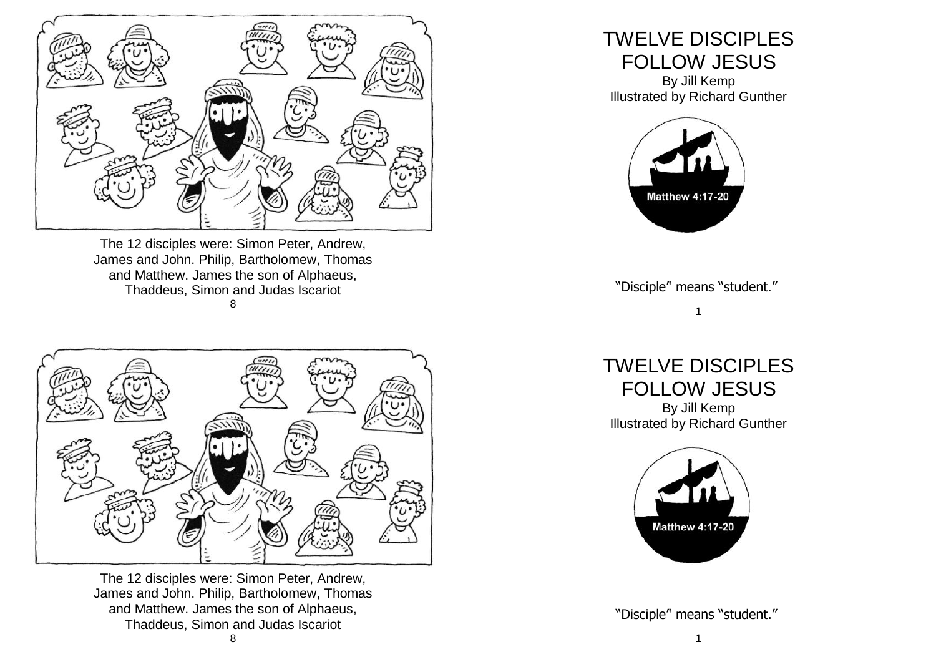

The 12 disciples were: Simon Peter, Andrew, James and John. Philip, Bartholomew, Thomas and Matthew. James the son of Alphaeus, Thaddeus, Simon and Judas Iscariot 8



The 12 disciples were: Simon Peter, Andrew, James and John. Philip, Bartholomew, Thomas and Matthew. James the son of Alphaeus, Thaddeus, Simon and Judas Iscariot

## TWELVE DISCIPLES FOLLOW JESUS

By Jill Kemp Illustrated by Richard Gunther



"Disciple'' means "student."

## 1

TWELVE DISCIPLES FOLLOW JESUS By Jill Kemp Illustrated by Richard Gunther



"Disciple'' means "student."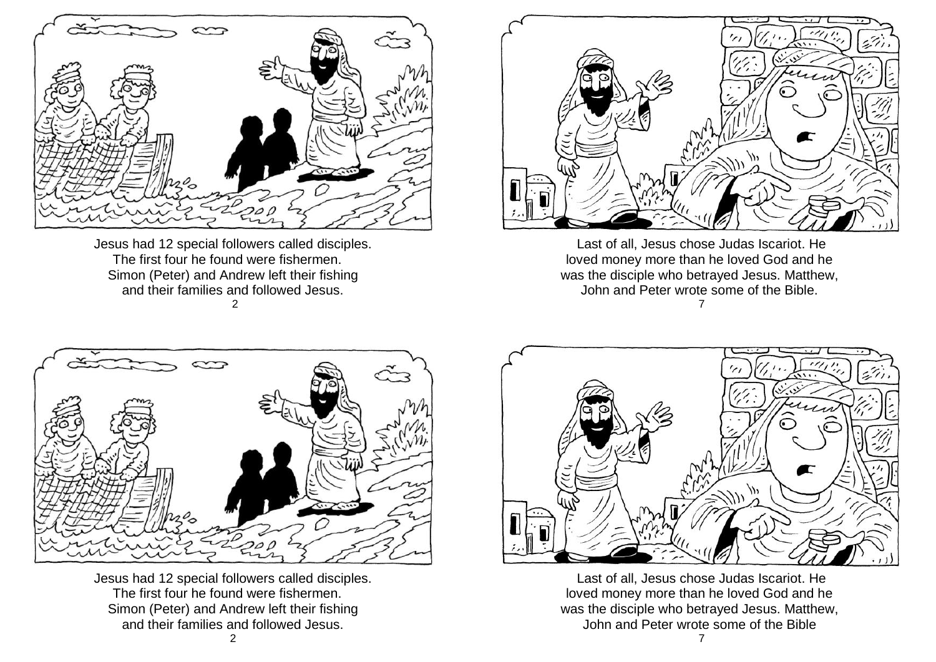

Jesus had 12 special followers called disciples. The first four he found were fishermen. Simon (Peter) and Andrew left their fishing and their families and followed Jesus.  $\mathfrak{D}$ 



Last of all, Jesus chose Judas Iscariot. He loved money more than he loved God and he was the disciple who betrayed Jesus. Matthew, John and Peter wrote some of the Bible. 7



Jesus had 12 special followers called disciples. The first four he found were fishermen. Simon (Peter) and Andrew left their fishing and their families and followed Jesus.

![](_page_1_Picture_6.jpeg)

Last of all, Jesus chose Judas Iscariot. He loved money more than he loved God and he was the disciple who betrayed Jesus. Matthew, John and Peter wrote some of the Bible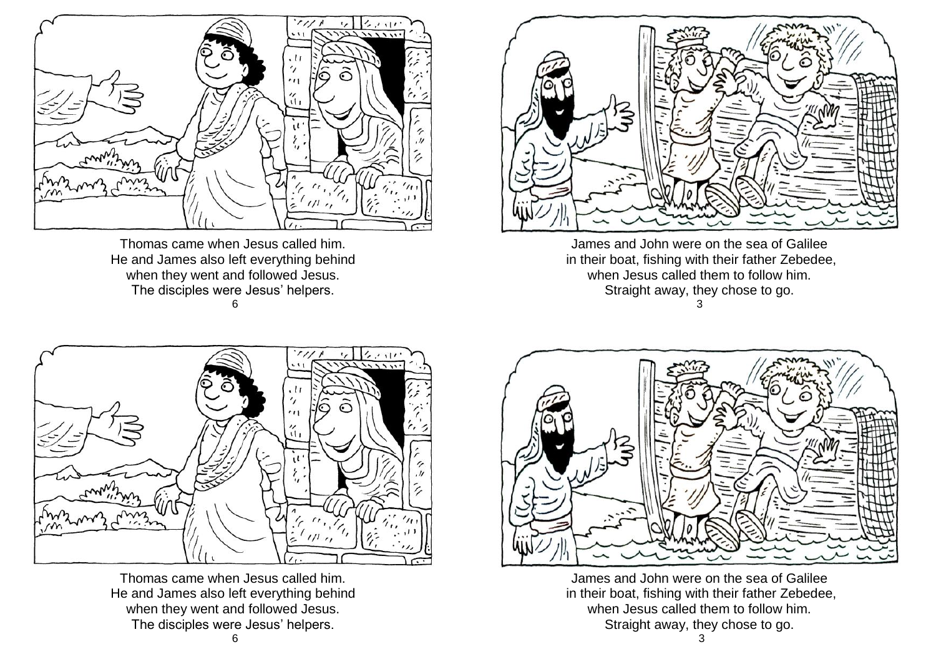![](_page_2_Figure_0.jpeg)

Thomas came when Jesus called him. He and James also left everything behind when they went and followed Jesus. The disciples were Jesus' helpers. 6

![](_page_2_Picture_2.jpeg)

James and John were on the sea of Galilee in their boat, fishing with their father Zebedee, when Jesus called them to follow him. Straight away, they chose to go. 3

![](_page_2_Picture_4.jpeg)

Thomas came when Jesus called him. He and James also left everything behind when they went and followed Jesus. The disciples were Jesus' helpers.

![](_page_2_Picture_6.jpeg)

James and John were on the sea of Galilee in their boat, fishing with their father Zebedee, when Jesus called them to follow him. Straight away, they chose to go.